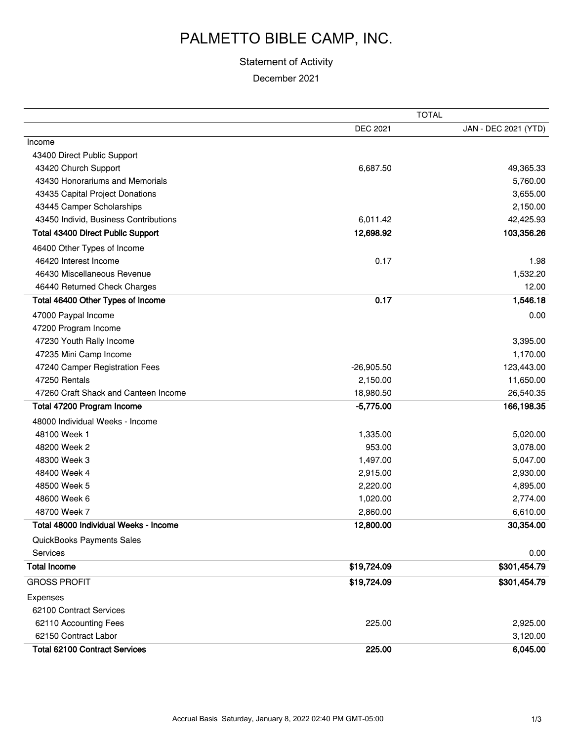### PALMETTO BIBLE CAMP, INC.

#### Statement of Activity

December 2021

|                                          |                 | <b>TOTAL</b>         |
|------------------------------------------|-----------------|----------------------|
|                                          | <b>DEC 2021</b> | JAN - DEC 2021 (YTD) |
| Income                                   |                 |                      |
| 43400 Direct Public Support              |                 |                      |
| 43420 Church Support                     | 6,687.50        | 49,365.33            |
| 43430 Honorariums and Memorials          |                 | 5,760.00             |
| 43435 Capital Project Donations          |                 | 3,655.00             |
| 43445 Camper Scholarships                |                 | 2,150.00             |
| 43450 Individ, Business Contributions    | 6,011.42        | 42,425.93            |
| <b>Total 43400 Direct Public Support</b> | 12,698.92       | 103,356.26           |
| 46400 Other Types of Income              |                 |                      |
| 46420 Interest Income                    | 0.17            | 1.98                 |
| 46430 Miscellaneous Revenue              |                 | 1,532.20             |
| 46440 Returned Check Charges             |                 | 12.00                |
| Total 46400 Other Types of Income        | 0.17            | 1,546.18             |
| 47000 Paypal Income                      |                 | 0.00                 |
| 47200 Program Income                     |                 |                      |
| 47230 Youth Rally Income                 |                 | 3,395.00             |
| 47235 Mini Camp Income                   |                 | 1,170.00             |
| 47240 Camper Registration Fees           | $-26,905.50$    | 123,443.00           |
| 47250 Rentals                            | 2,150.00        | 11,650.00            |
| 47260 Craft Shack and Canteen Income     | 18,980.50       | 26,540.35            |
| Total 47200 Program Income               | $-5,775.00$     | 166,198.35           |
| 48000 Individual Weeks - Income          |                 |                      |
| 48100 Week 1                             | 1,335.00        | 5,020.00             |
| 48200 Week 2                             | 953.00          | 3,078.00             |
| 48300 Week 3                             | 1,497.00        | 5,047.00             |
| 48400 Week 4                             | 2,915.00        | 2,930.00             |
| 48500 Week 5                             | 2,220.00        | 4,895.00             |
| 48600 Week 6                             | 1,020.00        | 2,774.00             |
| 48700 Week 7                             | 2,860.00        | 6,610.00             |
| Total 48000 Individual Weeks - Income    | 12,800.00       | 30,354.00            |
| QuickBooks Payments Sales                |                 |                      |
| Services                                 |                 | 0.00                 |
| <b>Total Income</b>                      | \$19,724.09     | \$301,454.79         |
| <b>GROSS PROFIT</b>                      | \$19,724.09     | \$301,454.79         |
| Expenses                                 |                 |                      |
| 62100 Contract Services                  |                 |                      |
| 62110 Accounting Fees                    | 225.00          | 2,925.00             |
| 62150 Contract Labor                     |                 | 3,120.00             |
| <b>Total 62100 Contract Services</b>     | 225.00          | 6,045.00             |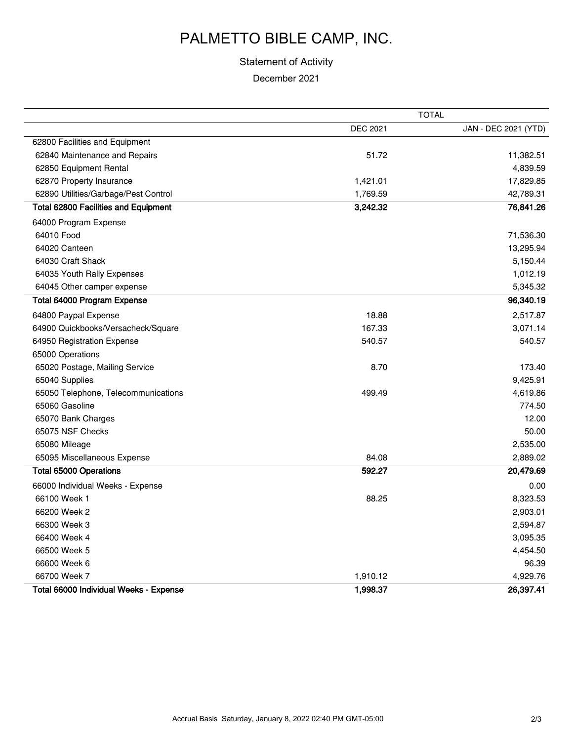# PALMETTO BIBLE CAMP, INC.

### Statement of Activity

December 2021

|                                        | <b>TOTAL</b>    |                      |
|----------------------------------------|-----------------|----------------------|
|                                        | <b>DEC 2021</b> | JAN - DEC 2021 (YTD) |
| 62800 Facilities and Equipment         |                 |                      |
| 62840 Maintenance and Repairs          | 51.72           | 11,382.51            |
| 62850 Equipment Rental                 |                 | 4,839.59             |
| 62870 Property Insurance               | 1,421.01        | 17,829.85            |
| 62890 Utilities/Garbage/Pest Control   | 1,769.59        | 42,789.31            |
| Total 62800 Facilities and Equipment   | 3,242.32        | 76,841.26            |
| 64000 Program Expense                  |                 |                      |
| 64010 Food                             |                 | 71,536.30            |
| 64020 Canteen                          |                 | 13,295.94            |
| 64030 Craft Shack                      |                 | 5,150.44             |
| 64035 Youth Rally Expenses             |                 | 1,012.19             |
| 64045 Other camper expense             |                 | 5,345.32             |
| Total 64000 Program Expense            |                 | 96,340.19            |
| 64800 Paypal Expense                   | 18.88           | 2,517.87             |
| 64900 Quickbooks/Versacheck/Square     | 167.33          | 3,071.14             |
| 64950 Registration Expense             | 540.57          | 540.57               |
| 65000 Operations                       |                 |                      |
| 65020 Postage, Mailing Service         | 8.70            | 173.40               |
| 65040 Supplies                         |                 | 9,425.91             |
| 65050 Telephone, Telecommunications    | 499.49          | 4,619.86             |
| 65060 Gasoline                         |                 | 774.50               |
| 65070 Bank Charges                     |                 | 12.00                |
| 65075 NSF Checks                       |                 | 50.00                |
| 65080 Mileage                          |                 | 2,535.00             |
| 65095 Miscellaneous Expense            | 84.08           | 2,889.02             |
| <b>Total 65000 Operations</b>          | 592.27          | 20,479.69            |
| 66000 Individual Weeks - Expense       |                 | 0.00                 |
| 66100 Week 1                           | 88.25           | 8,323.53             |
| 66200 Week 2                           |                 | 2,903.01             |
| 66300 Week 3                           |                 | 2,594.87             |
| 66400 Week 4                           |                 | 3,095.35             |
| 66500 Week 5                           |                 | 4,454.50             |
| 66600 Week 6                           |                 | 96.39                |
| 66700 Week 7                           | 1,910.12        | 4,929.76             |
| Total 66000 Individual Weeks - Expense | 1,998.37        | 26,397.41            |